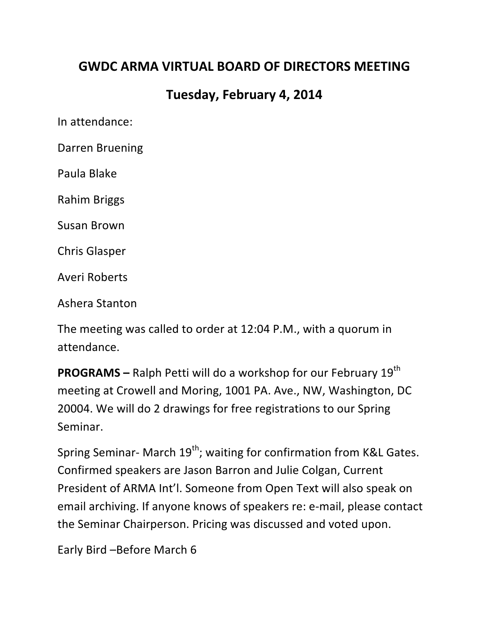## **GWDC ARMA VIRTUAL BOARD OF DIRECTORS MEETING**

## **Tuesday, February 4, 2014**

In attendance:

Darren Bruening

Paula Blake

Rahim Briggs

Susan Brown

Chris Glasper

Averi Roberts

Ashera Stanton

The meeting was called to order at 12:04 P.M., with a quorum in attendance.

**PROGRAMS** – Ralph Petti will do a workshop for our February 19<sup>th</sup> meeting at Crowell and Moring, 1001 PA. Ave., NW, Washington, DC 20004. We will do 2 drawings for free registrations to our Spring Seminar. 

Spring Seminar- March  $19^{th}$ ; waiting for confirmation from K&L Gates. Confirmed speakers are Jason Barron and Julie Colgan, Current President of ARMA Int'l. Someone from Open Text will also speak on email archiving. If anyone knows of speakers re: e-mail, please contact the Seminar Chairperson. Pricing was discussed and voted upon.

Early Bird -Before March 6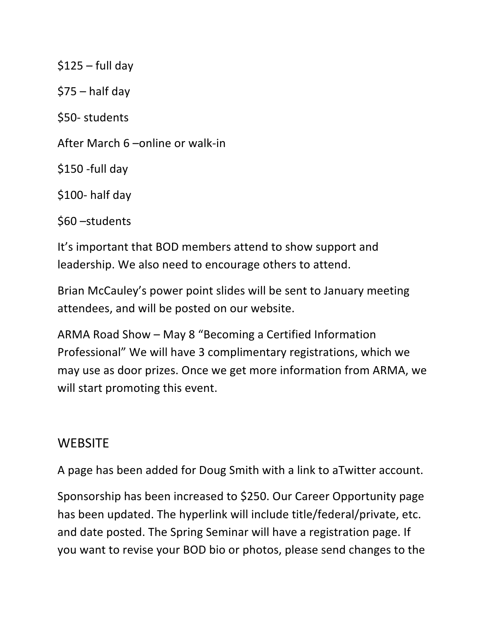$$125 - full day$  $$75 - half day$ \$50- students After March 6 – online or walk-in \$150 -full day \$100- half day \$60 –students

It's important that BOD members attend to show support and leadership. We also need to encourage others to attend.

Brian McCauley's power point slides will be sent to January meeting attendees, and will be posted on our website.

ARMA Road Show – May 8 "Becoming a Certified Information Professional" We will have 3 complimentary registrations, which we may use as door prizes. Once we get more information from ARMA, we will start promoting this event.

## **WEBSITE**

A page has been added for Doug Smith with a link to aTwitter account.

Sponsorship has been increased to \$250. Our Career Opportunity page has been updated. The hyperlink will include title/federal/private, etc. and date posted. The Spring Seminar will have a registration page. If you want to revise your BOD bio or photos, please send changes to the